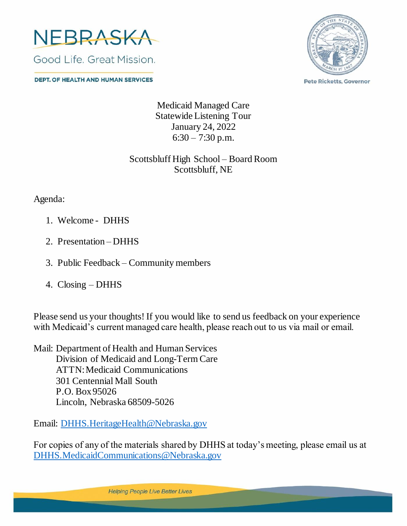

**DEPT. OF HEALTH AND HUMAN SERVICES** 



**Pete Ricketts, Governor** 

Medicaid Managed Care Statewide Listening Tour January 24, 2022  $6:30 - 7:30$  p.m.

Scottsbluff High School – Board Room Scottsbluff, NE

Agenda:

- 1. Welcome DHHS
- 2. Presentation DHHS
- 3. Public Feedback Community members
- 4. Closing DHHS

Please send us your thoughts! If you would like to send us feedback on your experience with Medicaid's current managed care health, please reach out to us via mail or email.

Mail: Department of Health and Human Services Division of Medicaid and Long-Term Care ATTN: Medicaid Communications 301 Centennial Mall South P.O. Box 95026 Lincoln, Nebraska 68509-5026

Email: [DHHS.HeritageHealth@Nebraska.gov](mailto:DHHS.HeritageHealth@Nebraska.gov)

For copies of any of the materials shared by DHHS at today's meeting, please email us at [DHHS.MedicaidCommunications@Nebraska.gov](mailto:DHHS.MedicaidCommunications@Nebraska.gov)

**Helping People Live Better Lives**